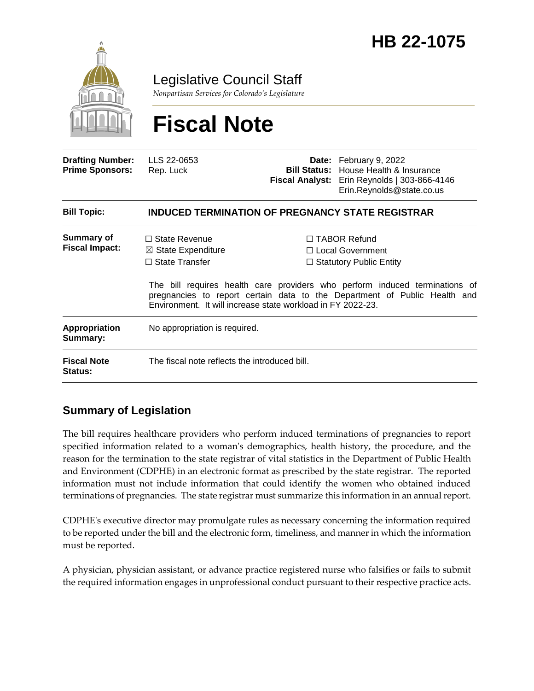

Legislative Council Staff

*Nonpartisan Services for Colorado's Legislature*

# **Fiscal Note**

| <b>Drafting Number:</b><br><b>Prime Sponsors:</b> | LLS 22-0653<br>Rep. Luck                                                       |  | Date: February 9, 2022<br><b>Bill Status:</b> House Health & Insurance<br>Fiscal Analyst: Erin Reynolds   303-866-4146<br>Erin.Reynolds@state.co.us                                                                                          |  |
|---------------------------------------------------|--------------------------------------------------------------------------------|--|----------------------------------------------------------------------------------------------------------------------------------------------------------------------------------------------------------------------------------------------|--|
| <b>Bill Topic:</b>                                | <b>INDUCED TERMINATION OF PREGNANCY STATE REGISTRAR</b>                        |  |                                                                                                                                                                                                                                              |  |
| Summary of<br><b>Fiscal Impact:</b>               | $\Box$ State Revenue<br>$\boxtimes$ State Expenditure<br>$\Box$ State Transfer |  | $\Box$ TABOR Refund<br>$\Box$ Local Government<br>$\Box$ Statutory Public Entity<br>The bill requires health care providers who perform induced terminations of<br>pregnancies to report certain data to the Department of Public Health and |  |
|                                                   | Environment. It will increase state workload in FY 2022-23.                    |  |                                                                                                                                                                                                                                              |  |
| Appropriation<br>Summary:                         | No appropriation is required.                                                  |  |                                                                                                                                                                                                                                              |  |
| <b>Fiscal Note</b><br><b>Status:</b>              | The fiscal note reflects the introduced bill.                                  |  |                                                                                                                                                                                                                                              |  |

## **Summary of Legislation**

The bill requires healthcare providers who perform induced terminations of pregnancies to report specified information related to a woman's demographics, health history, the procedure, and the reason for the termination to the state registrar of vital statistics in the Department of Public Health and Environment (CDPHE) in an electronic format as prescribed by the state registrar. The reported information must not include information that could identify the women who obtained induced terminations of pregnancies. The state registrar must summarize this information in an annual report.

CDPHE's executive director may promulgate rules as necessary concerning the information required to be reported under the bill and the electronic form, timeliness, and manner in which the information must be reported.

A physician, physician assistant, or advance practice registered nurse who falsifies or fails to submit the required information engages in unprofessional conduct pursuant to their respective practice acts.